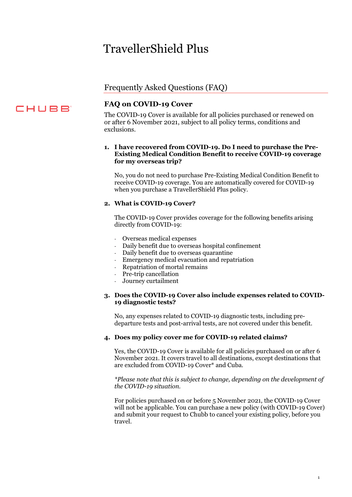# TravellerShield Plus

# Frequently Asked Questions (FAQ)

# CHUBB

# **FAQ on COVID-19 Cover**

The COVID-19 Cover is available for all policies purchased or renewed on or after 6 November 2021, subject to all policy terms, conditions and exclusions.

#### **1. I have recovered from COVID-19. Do I need to purchase the Pre-Existing Medical Condition Benefit to receive COVID-19 coverage for my overseas trip?**

No, you do not need to purchase Pre-Existing Medical Condition Benefit to receive COVID-19 coverage. You are automatically covered for COVID-19 when you purchase a TravellerShield Plus policy.

#### **2. What is COVID-19 Cover?**

The COVID-19 Cover provides coverage for the following benefits arising directly from COVID-19:

- Overseas medical expenses
- Daily benefit due to overseas hospital confinement
- Daily benefit due to overseas quarantine
- Emergency medical evacuation and repatriation
- Repatriation of mortal remains
- Pre-trip cancellation
- Journey curtailment

#### **3. Does the COVID-19 Cover also include expenses related to COVID-19 diagnostic tests?**

No, any expenses related to COVID-19 diagnostic tests, including predeparture tests and post-arrival tests, are not covered under this benefit.

#### **4. Does my policy cover me for COVID-19 related claims?**

Yes, the COVID-19 Cover is available for all policies purchased on or after 6 November 2021. It covers travel to all destinations, except destinations that are excluded from COVID-19 Cover\* and Cuba.

*\*Please note that this is subject to change, depending on the development of the COVID-19 situation.* 

For policies purchased on or before 5 November 2021, the COVID-19 Cover will not be applicable. You can purchase a new policy (with COVID-19 Cover) and submit your request to Chubb to cancel your existing policy, before you travel.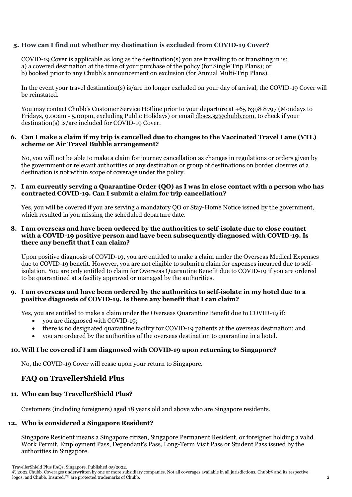#### **5. How can I find out whether my destination is excluded from COVID-19 Cover?**

COVID-19 Cover is applicable as long as the destination(s) you are travelling to or transiting in is: a) a covered destination at the time of your purchase of the policy (for Single Trip Plans); or b) booked prior to any Chubb's announcement on exclusion (for Annual Multi-Trip Plans).

In the event your travel destination(s) is/are no longer excluded on your day of arrival, the COVID-19 Cover will be reinstated.

You may contact Chubb's Customer Service Hotline prior to your departure at +65 6398 8797 (Mondays to Fridays, 9.00am - 5.00pm, excluding Public Holidays) or emai[l dbscs.sg@chubb.com,](mailto:dbscs.sg@chubb.com) to check if your destination(s) is/are included for COVID-19 Cover.

#### **6. Can I make a claim if my trip is cancelled due to changes to the Vaccinated Travel Lane (VTL) scheme or Air Travel Bubble arrangement?**

No, you will not be able to make a claim for journey cancellation as changes in regulations or orders given by the government or relevant authorities of any destination or group of destinations on border closures of a destination is not within scope of coverage under the policy.

#### **7. I am currently serving a Quarantine Order (QO) as I was in close contact with a person who has contracted COVID-19. Can I submit a claim for trip cancellation?**

Yes, you will be covered if you are serving a mandatory QO or Stay-Home Notice issued by the government, which resulted in you missing the scheduled departure date.

#### **8. I am overseas and have been ordered by the authorities to self-isolate due to close contact with a COVID-19 positive person and have been subsequently diagnosed with COVID-19. Is there any benefit that I can claim?**

Upon positive diagnosis of COVID-19, you are entitled to make a claim under the Overseas Medical Expenses due to COVID-19 benefit. However, you are not eligible to submit a claim for expenses incurred due to selfisolation. You are only entitled to claim for Overseas Quarantine Benefit due to COVID-19 if you are ordered to be quarantined at a facility approved or managed by the authorities.

#### **9. I am overseas and have been ordered by the authorities to self-isolate in my hotel due to a positive diagnosis of COVID-19. Is there any benefit that I can claim?**

Yes, you are entitled to make a claim under the Overseas Quarantine Benefit due to COVID-19 if:

- you are diagnosed with COVID-19;
- there is no designated quarantine facility for COVID-19 patients at the overseas destination; and
- you are ordered by the authorities of the overseas destination to quarantine in a hotel.

#### **10.Will I be covered if I am diagnosed with COVID-19 upon returning to Singapore?**

No, the COVID-19 Cover will cease upon your return to Singapore.

## **FAQ on TravellerShield Plus**

#### **11. Who can buy TravellerShield Plus?**

Customers (including foreigners) aged 18 years old and above who are Singapore residents.

#### **12. Who is considered a Singapore Resident?**

Singapore Resident means a Singapore citizen, Singapore Permanent Resident, or foreigner holding a valid Work Permit, Employment Pass, Dependant's Pass, Long-Term Visit Pass or Student Pass issued by the authorities in Singapore.

<sup>© 2022</sup> Chubb. Coverages underwritten by one or more subsidiary companies. Not all coverages available in all jurisdictions. Chubb® and its respective logos, and Chubb. Insured.TM are protected trademarks of Chubb. 2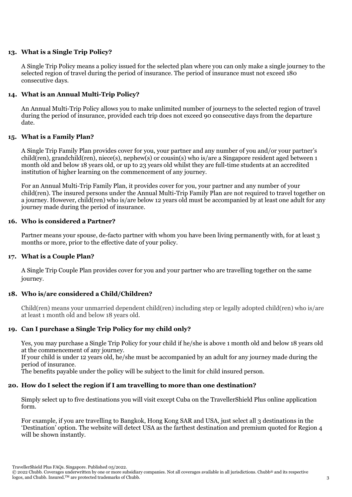#### **13. What is a Single Trip Policy?**

A Single Trip Policy means a policy issued for the selected plan where you can only make a single journey to the selected region of travel during the period of insurance. The period of insurance must not exceed 180 consecutive days.

#### **14. What is an Annual Multi-Trip Policy?**

An Annual Multi-Trip Policy allows you to make unlimited number of journeys to the selected region of travel during the period of insurance, provided each trip does not exceed 90 consecutive days from the departure date.

#### **15. What is a Family Plan?**

A Single Trip Family Plan provides cover for you, your partner and any number of you and/or your partner's child(ren), grandchild(ren), niece(s), nephew(s) or cousin(s) who is/are a Singapore resident aged between 1 month old and below 18 years old, or up to 23 years old whilst they are full-time students at an accredited institution of higher learning on the commencement of any journey.

For an Annual Multi-Trip Family Plan, it provides cover for you, your partner and any number of your child(ren). The insured persons under the Annual Multi-Trip Family Plan are not required to travel together on a journey. However, child(ren) who is/are below 12 years old must be accompanied by at least one adult for any journey made during the period of insurance.

#### **16. Who is considered a Partner?**

Partner means your spouse, de-facto partner with whom you have been living permanently with, for at least 3 months or more, prior to the effective date of your policy.

#### **17. What is a Couple Plan?**

A Single Trip Couple Plan provides cover for you and your partner who are travelling together on the same journey.

#### **18. Who is/are considered a Child/Children?**

Child(ren) means your unmarried dependent child(ren) including step or legally adopted child(ren) who is/are at least 1 month old and below 18 years old.

#### **19. Can I purchase a Single Trip Policy for my child only?**

Yes, you may purchase a Single Trip Policy for your child if he/she is above 1 month old and below 18 years old at the commencement of any journey.

If your child is under 12 years old, he/she must be accompanied by an adult for any journey made during the period of insurance.

The benefits payable under the policy will be subject to the limit for child insured person.

#### **20. How do I select the region if I am travelling to more than one destination?**

Simply select up to five destinations you will visit except Cuba on the TravellerShield Plus online application form.

For example, if you are travelling to Bangkok, Hong Kong SAR and USA, just select all 3 destinations in the 'Destination' option. The website will detect USA as the farthest destination and premium quoted for Region 4 will be shown instantly.

<sup>© 2022</sup> Chubb. Coverages underwritten by one or more subsidiary companies. Not all coverages available in all jurisdictions. Chubb® and its respective logos, and Chubb. Insured.<sup>TM</sup> are protected trademarks of Chubb. 33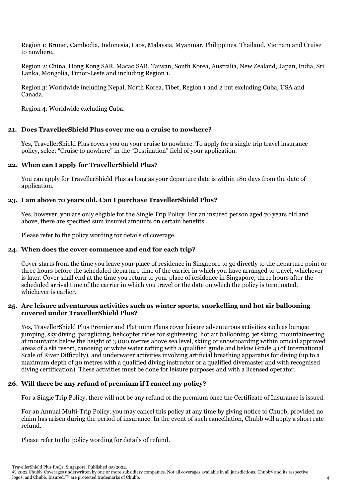Region 1: Brunei, Cambodia, Indonesia, Laos, Malaysia, Myanmar, Philippines, Thailand, Vietnam and Cruise to nowhere.

Region 2: China, Hong Kong SAR, Macao SAR, Taiwan, South Korea, Australia, New Zealand, Japan, India, Sri Lanka, Mongolia, Timor-Leste and including Region 1.

Region 3: Worldwide including Nepal, North Korea, Tibet, Region 1 and 2 but excluding Cuba, USA and Canada.

Region 4: Worldwide excluding Cuba.

#### **21. Does TravellerShield Plus cover me on a cruise to nowhere?**

Yes, TravellerShield Plus covers you on your cruise to nowhere. To apply for a single trip travel insurance policy, select "Cruise to nowhere" in the "Destination" field of your application.

#### **22. When can I apply for TravellerShield Plus?**

You can apply for TravellerShield Plus as long as your departure date is within 180 days from the date of application.

#### **23. I am above 70 years old. Can I purchase TravellerShield Plus?**

Yes, however, you are only eligible for the Single Trip Policy. For an insured person aged 70 years old and above, there are specified sum insured amounts on certain benefits.

Please refer to the policy wording for details of coverage.

#### **24. When does the cover commence and end for each trip?**

Cover starts from the time you leave your place of residence in Singapore to go directly to the departure point or three hours before the scheduled departure time of the carrier in which you have arranged to travel, whichever is later. Cover shall end at the time you return to your place of residence in Singapore, three hours after the scheduled arrival time of the carrier in which you travel or the date on which the policy is terminated, whichever is earlier.

#### **25. Are leisure adventurous activities such as winter sports, snorkelling and hot air ballooning covered under TravellerShield Plus?**

Yes, TravellerShield Plus Premier and Platinum Plans cover leisure adventurous activities such as bungee jumping, sky diving, paragliding, helicopter rides for sightseeing, hot air ballooning, jet skiing, mountaineering at mountains below the height of 3,000 metres above sea level, skiing or snowboarding within official approved areas of a ski resort, canoeing or white water rafting with a qualified guide and below Grade 4 (of International Scale of River Difficulty), and underwater activities involving artificial breathing apparatus for diving (up to a maximum depth of 30 metres with a qualified diving instructor or a qualified divemaster and with recognised diving certification). These activities must be done for leisure purposes and with a licensed operator.

#### **26. Will there be any refund of premium if I cancel my policy?**

For a Single Trip Policy, there will not be any refund of the premium once the Certificate of Insurance is issued.

For an Annual Multi-Trip Policy, you may cancel this policy at any time by giving notice to Chubb, provided no claim has arisen during the period of insurance. In the event of such cancellation, Chubb will apply a short rate refund.

Please refer to the policy wording for details of refund.

<sup>© 2022</sup> Chubb. Coverages underwritten by one or more subsidiary companies. Not all coverages available in all jurisdictions. Chubb® and its respective logos, and Chubb. Insured.TM are protected trademarks of Chubb. 4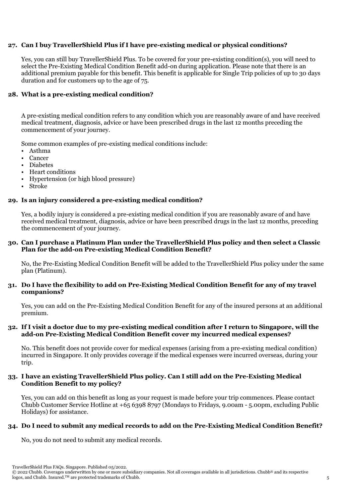#### **27. Can I buy TravellerShield Plus if I have pre-existing medical or physical conditions?**

Yes, you can still buy TravellerShield Plus. To be covered for your pre-existing condition(s), you will need to select the Pre-Existing Medical Condition Benefit add-on during application. Please note that there is an additional premium payable for this benefit. This benefit is applicable for Single Trip policies of up to 30 days duration and for customers up to the age of 75.

#### **28. What is a pre-existing medical condition?**

A pre-existing medical condition refers to any condition which you are reasonably aware of and have received medical treatment, diagnosis, advice or have been prescribed drugs in the last 12 months preceding the commencement of your journey.

Some common examples of pre-existing medical conditions include:

- Asthma
- Cancer
- Diabetes
- Heart conditions
- Hypertension (or high blood pressure)
- Stroke

#### **29. Is an injury considered a pre-existing medical condition?**

Yes, a bodily injury is considered a pre-existing medical condition if you are reasonably aware of and have received medical treatment, diagnosis, advice or have been prescribed drugs in the last 12 months, preceding the commencement of your journey.

#### **30. Can I purchase a Platinum Plan under the TravellerShield Plus policy and then select a Classic Plan for the add-on Pre-existing Medical Condition Benefit?**

No, the Pre-Existing Medical Condition Benefit will be added to the TravellerShield Plus policy under the same plan (Platinum).

#### **31. Do I have the flexibility to add on Pre-Existing Medical Condition Benefit for any of my travel companions?**

Yes, you can add on the Pre-Existing Medical Condition Benefit for any of the insured persons at an additional premium.

#### **32. If I visit a doctor due to my pre-existing medical condition after I return to Singapore, will the add-on Pre-Existing Medical Condition Benefit cover my incurred medical expenses?**

No. This benefit does not provide cover for medical expenses (arising from a pre-existing medical condition) incurred in Singapore. It only provides coverage if the medical expenses were incurred overseas, during your trip.

#### **33. I have an existing TravellerShield Plus policy. Can I still add on the Pre-Existing Medical Condition Benefit to my policy?**

Yes, you can add on this benefit as long as your request is made before your trip commences. Please contact Chubb Customer Service Hotline at +65 6398 8797 (Mondays to Fridays, 9.00am - 5.00pm, excluding Public Holidays) for assistance.

#### **34. Do I need to submit any medical records to add on the Pre-Existing Medical Condition Benefit?**

No, you do not need to submit any medical records.